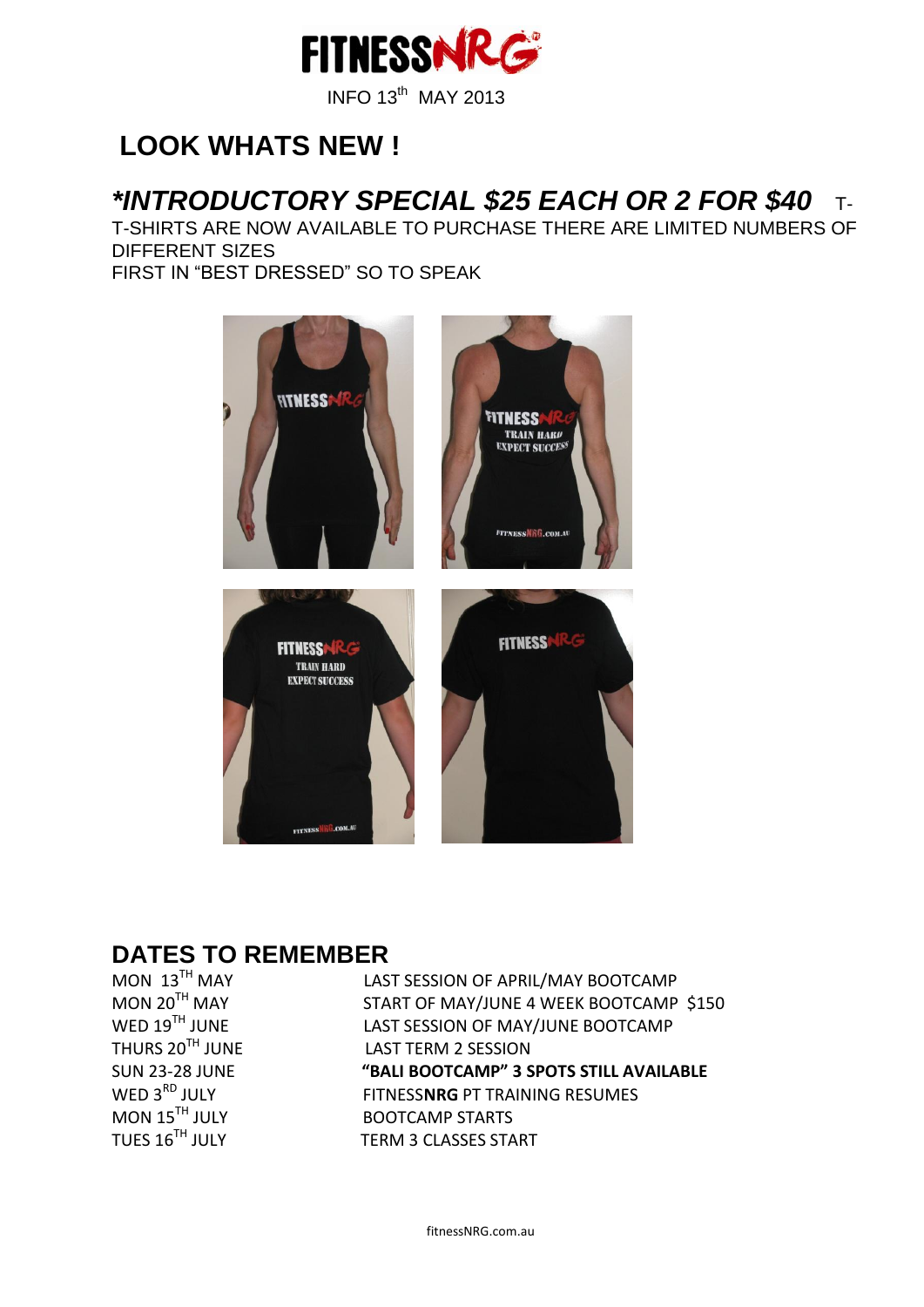

## **LOOK WHATS NEW !**

### *\*INTRODUCTORY SPECIAL \$25 EACH OR 2 FOR \$40* T-

T-SHIRTS ARE NOW AVAILABLE TO PURCHASE THERE ARE LIMITED NUMBERS OF DIFFERENT SIZES FIRST IN "BEST DRESSED" SO TO SPEAK



#### **DATES TO REMEMBER**

MON  $13^{TH}$  MAY<br>MON  $20^{TH}$  MAY

LAST SESSION OF APRIL/MAY BOOTCAMP START OF MAY/JUNE 4 WEEK BOOTCAMP \$150 WED  $19^{TH}$  JUNE LAST SESSION OF MAY/JUNE BOOTCAMP<br>THURS  $20^{TH}$  JUNE LAST TERM 2 SESSION LAST TERM 2 SESSION SUN 23-28 JUNE **"BALI BOOTCAMP" 3 SPOTS STILL AVAILABLE**<br>WED 3<sup>RD</sup> JULY FITNESS**NRG** PT TRAINING RESUMES WED 3<sup>RD</sup> JULY FITNESS**NRG** PT TRAINING RESUMES<br>MON 15<sup>TH</sup> JULY BOOTCAMP STARTS MON 15<sup>TH</sup> JULY BOOTCAMP STARTS<br>TUES 16<sup>TH</sup> JULY TERM 3 CLASSES STA TERM 3 CLASSES START